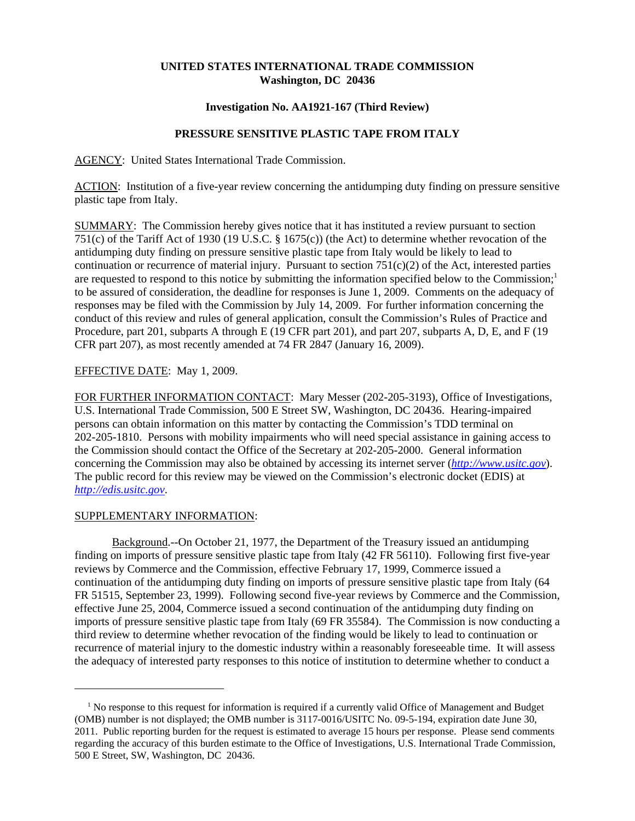# **UNITED STATES INTERNATIONAL TRADE COMMISSION Washington, DC 20436**

## **Investigation No. AA1921-167 (Third Review)**

# **PRESSURE SENSITIVE PLASTIC TAPE FROM ITALY**

AGENCY: United States International Trade Commission.

ACTION: Institution of a five-year review concerning the antidumping duty finding on pressure sensitive plastic tape from Italy.

SUMMARY: The Commission hereby gives notice that it has instituted a review pursuant to section 751(c) of the Tariff Act of 1930 (19 U.S.C. § 1675(c)) (the Act) to determine whether revocation of the antidumping duty finding on pressure sensitive plastic tape from Italy would be likely to lead to continuation or recurrence of material injury. Pursuant to section  $751(c)(2)$  of the Act, interested parties are requested to respond to this notice by submitting the information specified below to the Commission;<sup>1</sup> to be assured of consideration, the deadline for responses is June 1, 2009. Comments on the adequacy of responses may be filed with the Commission by July 14, 2009. For further information concerning the conduct of this review and rules of general application, consult the Commission's Rules of Practice and Procedure, part 201, subparts A through E (19 CFR part 201), and part 207, subparts A, D, E, and F (19 CFR part 207), as most recently amended at 74 FR 2847 (January 16, 2009).

## EFFECTIVE DATE: May 1, 2009.

FOR FURTHER INFORMATION CONTACT: Mary Messer (202-205-3193), Office of Investigations, U.S. International Trade Commission, 500 E Street SW, Washington, DC 20436. Hearing-impaired persons can obtain information on this matter by contacting the Commission's TDD terminal on 202-205-1810. Persons with mobility impairments who will need special assistance in gaining access to the Commission should contact the Office of the Secretary at 202-205-2000. General information concerning the Commission may also be obtained by accessing its internet server (*http://www.usitc.gov*). The public record for this review may be viewed on the Commission's electronic docket (EDIS) at *http://edis.usitc.gov*.

### SUPPLEMENTARY INFORMATION:

Background.--On October 21, 1977, the Department of the Treasury issued an antidumping finding on imports of pressure sensitive plastic tape from Italy (42 FR 56110). Following first five-year reviews by Commerce and the Commission, effective February 17, 1999, Commerce issued a continuation of the antidumping duty finding on imports of pressure sensitive plastic tape from Italy (64 FR 51515, September 23, 1999). Following second five-year reviews by Commerce and the Commission, effective June 25, 2004, Commerce issued a second continuation of the antidumping duty finding on imports of pressure sensitive plastic tape from Italy (69 FR 35584). The Commission is now conducting a third review to determine whether revocation of the finding would be likely to lead to continuation or recurrence of material injury to the domestic industry within a reasonably foreseeable time. It will assess the adequacy of interested party responses to this notice of institution to determine whether to conduct a

<sup>&</sup>lt;sup>1</sup> No response to this request for information is required if a currently valid Office of Management and Budget (OMB) number is not displayed; the OMB number is 3117-0016/USITC No. 09-5-194, expiration date June 30, 2011. Public reporting burden for the request is estimated to average 15 hours per response. Please send comments regarding the accuracy of this burden estimate to the Office of Investigations, U.S. International Trade Commission, 500 E Street, SW, Washington, DC 20436.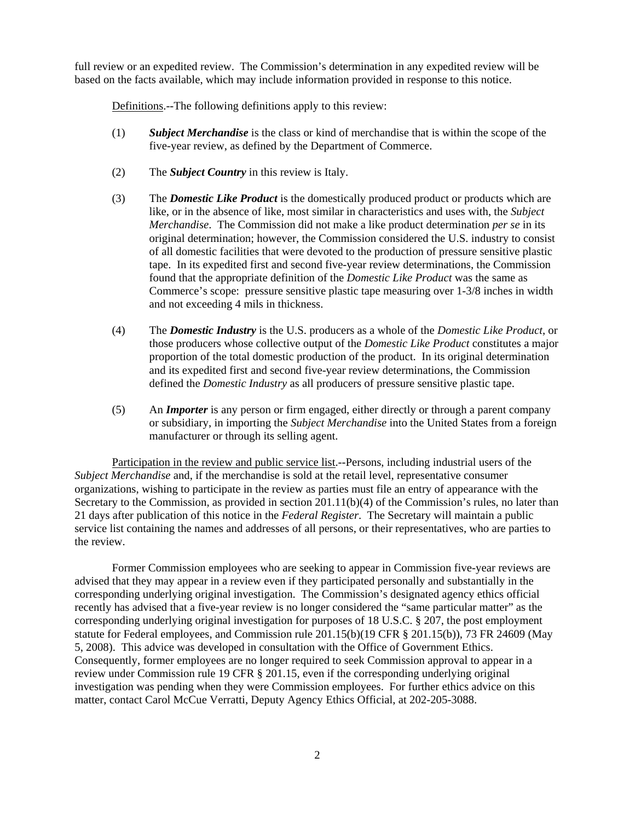full review or an expedited review. The Commission's determination in any expedited review will be based on the facts available, which may include information provided in response to this notice.

Definitions.--The following definitions apply to this review:

- (1) *Subject Merchandise* is the class or kind of merchandise that is within the scope of the five-year review, as defined by the Department of Commerce.
- (2) The *Subject Country* in this review is Italy.
- (3) The *Domestic Like Product* is the domestically produced product or products which are like, or in the absence of like, most similar in characteristics and uses with, the *Subject Merchandise*. The Commission did not make a like product determination *per se* in its original determination; however, the Commission considered the U.S. industry to consist of all domestic facilities that were devoted to the production of pressure sensitive plastic tape. In its expedited first and second five-year review determinations, the Commission found that the appropriate definition of the *Domestic Like Product* was the same as Commerce's scope: pressure sensitive plastic tape measuring over 1-3/8 inches in width and not exceeding 4 mils in thickness.
- (4) The *Domestic Industry* is the U.S. producers as a whole of the *Domestic Like Product*, or those producers whose collective output of the *Domestic Like Product* constitutes a major proportion of the total domestic production of the product. In its original determination and its expedited first and second five-year review determinations, the Commission defined the *Domestic Industry* as all producers of pressure sensitive plastic tape.
- (5) An *Importer* is any person or firm engaged, either directly or through a parent company or subsidiary, in importing the *Subject Merchandise* into the United States from a foreign manufacturer or through its selling agent.

Participation in the review and public service list.--Persons, including industrial users of the *Subject Merchandise* and, if the merchandise is sold at the retail level, representative consumer organizations, wishing to participate in the review as parties must file an entry of appearance with the Secretary to the Commission, as provided in section 201.11(b)(4) of the Commission's rules, no later than 21 days after publication of this notice in the *Federal Register*. The Secretary will maintain a public service list containing the names and addresses of all persons, or their representatives, who are parties to the review.

Former Commission employees who are seeking to appear in Commission five-year reviews are advised that they may appear in a review even if they participated personally and substantially in the corresponding underlying original investigation. The Commission's designated agency ethics official recently has advised that a five-year review is no longer considered the "same particular matter" as the corresponding underlying original investigation for purposes of 18 U.S.C. § 207, the post employment statute for Federal employees, and Commission rule 201.15(b)(19 CFR § 201.15(b)), 73 FR 24609 (May 5, 2008). This advice was developed in consultation with the Office of Government Ethics. Consequently, former employees are no longer required to seek Commission approval to appear in a review under Commission rule 19 CFR § 201.15, even if the corresponding underlying original investigation was pending when they were Commission employees. For further ethics advice on this matter, contact Carol McCue Verratti, Deputy Agency Ethics Official, at 202-205-3088.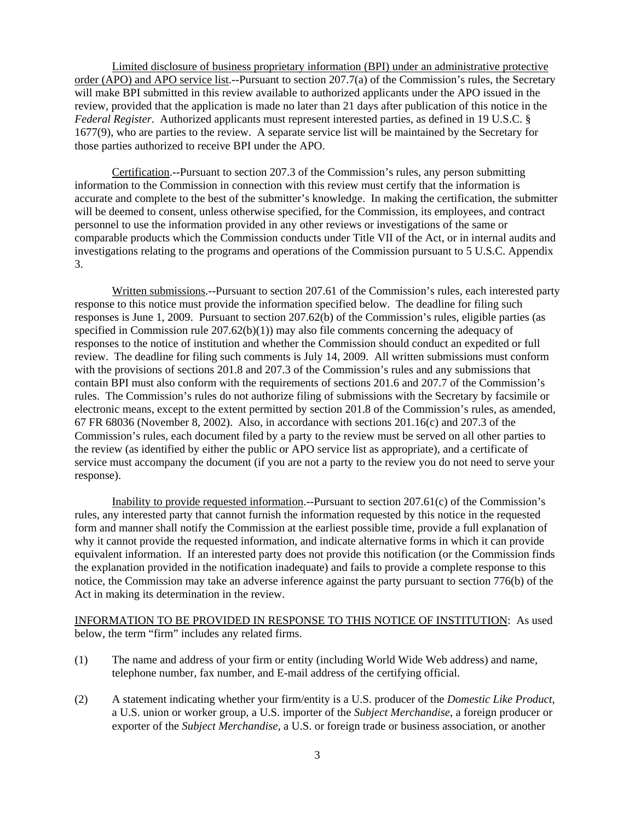Limited disclosure of business proprietary information (BPI) under an administrative protective order (APO) and APO service list.--Pursuant to section 207.7(a) of the Commission's rules, the Secretary will make BPI submitted in this review available to authorized applicants under the APO issued in the review, provided that the application is made no later than 21 days after publication of this notice in the *Federal Register*. Authorized applicants must represent interested parties, as defined in 19 U.S.C. § 1677(9), who are parties to the review. A separate service list will be maintained by the Secretary for those parties authorized to receive BPI under the APO.

Certification.--Pursuant to section 207.3 of the Commission's rules, any person submitting information to the Commission in connection with this review must certify that the information is accurate and complete to the best of the submitter's knowledge. In making the certification, the submitter will be deemed to consent, unless otherwise specified, for the Commission, its employees, and contract personnel to use the information provided in any other reviews or investigations of the same or comparable products which the Commission conducts under Title VII of the Act, or in internal audits and investigations relating to the programs and operations of the Commission pursuant to 5 U.S.C. Appendix 3.

Written submissions.--Pursuant to section 207.61 of the Commission's rules, each interested party response to this notice must provide the information specified below. The deadline for filing such responses is June 1, 2009. Pursuant to section 207.62(b) of the Commission's rules, eligible parties (as specified in Commission rule  $207.62(b)(1)$  may also file comments concerning the adequacy of responses to the notice of institution and whether the Commission should conduct an expedited or full review. The deadline for filing such comments is July 14, 2009. All written submissions must conform with the provisions of sections 201.8 and 207.3 of the Commission's rules and any submissions that contain BPI must also conform with the requirements of sections 201.6 and 207.7 of the Commission's rules. The Commission's rules do not authorize filing of submissions with the Secretary by facsimile or electronic means, except to the extent permitted by section 201.8 of the Commission's rules, as amended, 67 FR 68036 (November 8, 2002). Also, in accordance with sections 201.16(c) and 207.3 of the Commission's rules, each document filed by a party to the review must be served on all other parties to the review (as identified by either the public or APO service list as appropriate), and a certificate of service must accompany the document (if you are not a party to the review you do not need to serve your response).

Inability to provide requested information.--Pursuant to section 207.61(c) of the Commission's rules, any interested party that cannot furnish the information requested by this notice in the requested form and manner shall notify the Commission at the earliest possible time, provide a full explanation of why it cannot provide the requested information, and indicate alternative forms in which it can provide equivalent information. If an interested party does not provide this notification (or the Commission finds the explanation provided in the notification inadequate) and fails to provide a complete response to this notice, the Commission may take an adverse inference against the party pursuant to section 776(b) of the Act in making its determination in the review.

INFORMATION TO BE PROVIDED IN RESPONSE TO THIS NOTICE OF INSTITUTION: As used below, the term "firm" includes any related firms.

- (1) The name and address of your firm or entity (including World Wide Web address) and name, telephone number, fax number, and E-mail address of the certifying official.
- (2) A statement indicating whether your firm/entity is a U.S. producer of the *Domestic Like Product*, a U.S. union or worker group, a U.S. importer of the *Subject Merchandise*, a foreign producer or exporter of the *Subject Merchandise*, a U.S. or foreign trade or business association, or another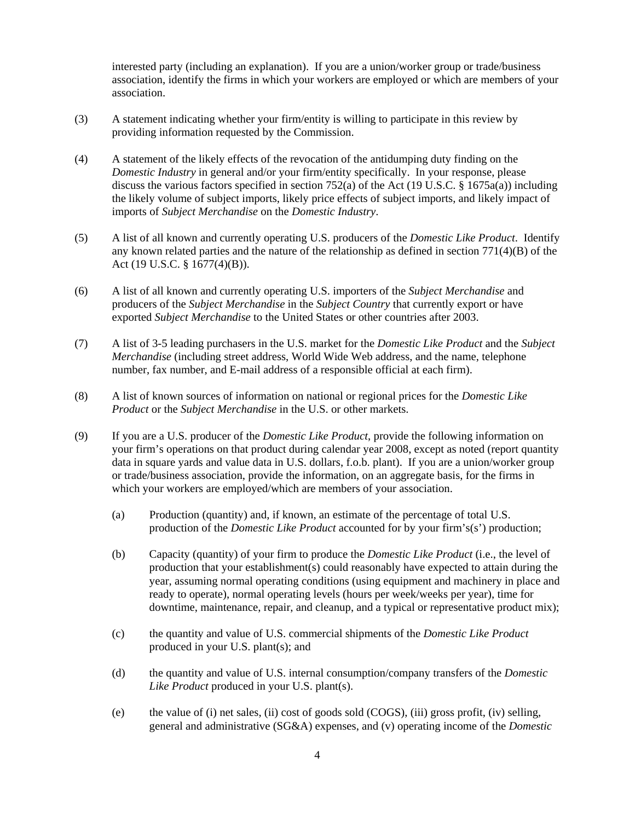interested party (including an explanation). If you are a union/worker group or trade/business association, identify the firms in which your workers are employed or which are members of your association.

- (3) A statement indicating whether your firm/entity is willing to participate in this review by providing information requested by the Commission.
- (4) A statement of the likely effects of the revocation of the antidumping duty finding on the *Domestic Industry* in general and/or your firm/entity specifically. In your response, please discuss the various factors specified in section 752(a) of the Act (19 U.S.C. § 1675a(a)) including the likely volume of subject imports, likely price effects of subject imports, and likely impact of imports of *Subject Merchandise* on the *Domestic Industry*.
- (5) A list of all known and currently operating U.S. producers of the *Domestic Like Product*. Identify any known related parties and the nature of the relationship as defined in section 771(4)(B) of the Act (19 U.S.C. § 1677(4)(B)).
- (6) A list of all known and currently operating U.S. importers of the *Subject Merchandise* and producers of the *Subject Merchandise* in the *Subject Country* that currently export or have exported *Subject Merchandise* to the United States or other countries after 2003.
- (7) A list of 3-5 leading purchasers in the U.S. market for the *Domestic Like Product* and the *Subject Merchandise* (including street address, World Wide Web address, and the name, telephone number, fax number, and E-mail address of a responsible official at each firm).
- (8) A list of known sources of information on national or regional prices for the *Domestic Like Product* or the *Subject Merchandise* in the U.S. or other markets.
- (9) If you are a U.S. producer of the *Domestic Like Product*, provide the following information on your firm's operations on that product during calendar year 2008, except as noted (report quantity data in square yards and value data in U.S. dollars, f.o.b. plant). If you are a union/worker group or trade/business association, provide the information, on an aggregate basis, for the firms in which your workers are employed/which are members of your association.
	- (a) Production (quantity) and, if known, an estimate of the percentage of total U.S. production of the *Domestic Like Product* accounted for by your firm's(s') production;
	- (b) Capacity (quantity) of your firm to produce the *Domestic Like Product* (i.e., the level of production that your establishment(s) could reasonably have expected to attain during the year, assuming normal operating conditions (using equipment and machinery in place and ready to operate), normal operating levels (hours per week/weeks per year), time for downtime, maintenance, repair, and cleanup, and a typical or representative product mix);
	- (c) the quantity and value of U.S. commercial shipments of the *Domestic Like Product* produced in your U.S. plant(s); and
	- (d) the quantity and value of U.S. internal consumption/company transfers of the *Domestic Like Product* produced in your U.S. plant(s).
	- (e) the value of (i) net sales, (ii) cost of goods sold (COGS), (iii) gross profit, (iv) selling, general and administrative (SG&A) expenses, and (v) operating income of the *Domestic*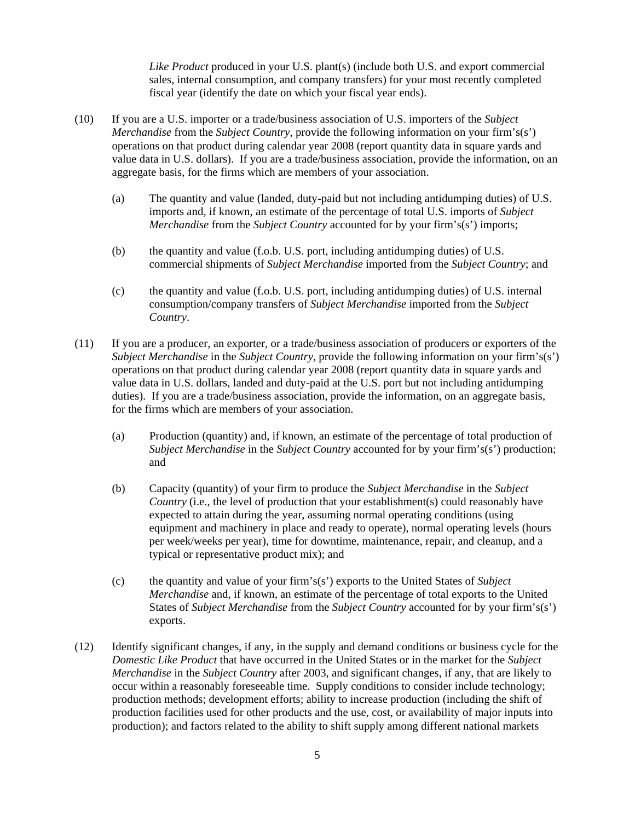*Like Product* produced in your U.S. plant(s) (include both U.S. and export commercial sales, internal consumption, and company transfers) for your most recently completed fiscal year (identify the date on which your fiscal year ends).

- (10) If you are a U.S. importer or a trade/business association of U.S. importers of the *Subject Merchandise* from the *Subject Country*, provide the following information on your firm's(s') operations on that product during calendar year 2008 (report quantity data in square yards and value data in U.S. dollars). If you are a trade/business association, provide the information, on an aggregate basis, for the firms which are members of your association.
	- (a) The quantity and value (landed, duty-paid but not including antidumping duties) of U.S. imports and, if known, an estimate of the percentage of total U.S. imports of *Subject Merchandise* from the *Subject Country* accounted for by your firm's(s') imports;
	- (b) the quantity and value (f.o.b. U.S. port, including antidumping duties) of U.S. commercial shipments of *Subject Merchandise* imported from the *Subject Country*; and
	- (c) the quantity and value (f.o.b. U.S. port, including antidumping duties) of U.S. internal consumption/company transfers of *Subject Merchandise* imported from the *Subject Country*.
- (11) If you are a producer, an exporter, or a trade/business association of producers or exporters of the *Subject Merchandise* in the *Subject Country*, provide the following information on your firm's(s') operations on that product during calendar year 2008 (report quantity data in square yards and value data in U.S. dollars, landed and duty-paid at the U.S. port but not including antidumping duties). If you are a trade/business association, provide the information, on an aggregate basis, for the firms which are members of your association.
	- (a) Production (quantity) and, if known, an estimate of the percentage of total production of *Subject Merchandise* in the *Subject Country* accounted for by your firm's(s') production; and
	- (b) Capacity (quantity) of your firm to produce the *Subject Merchandise* in the *Subject Country* (i.e., the level of production that your establishment(s) could reasonably have expected to attain during the year, assuming normal operating conditions (using equipment and machinery in place and ready to operate), normal operating levels (hours per week/weeks per year), time for downtime, maintenance, repair, and cleanup, and a typical or representative product mix); and
	- (c) the quantity and value of your firm's(s') exports to the United States of *Subject Merchandise* and, if known, an estimate of the percentage of total exports to the United States of *Subject Merchandise* from the *Subject Country* accounted for by your firm's(s') exports.
- (12) Identify significant changes, if any, in the supply and demand conditions or business cycle for the *Domestic Like Product* that have occurred in the United States or in the market for the *Subject Merchandise* in the *Subject Country* after 2003, and significant changes, if any, that are likely to occur within a reasonably foreseeable time. Supply conditions to consider include technology; production methods; development efforts; ability to increase production (including the shift of production facilities used for other products and the use, cost, or availability of major inputs into production); and factors related to the ability to shift supply among different national markets